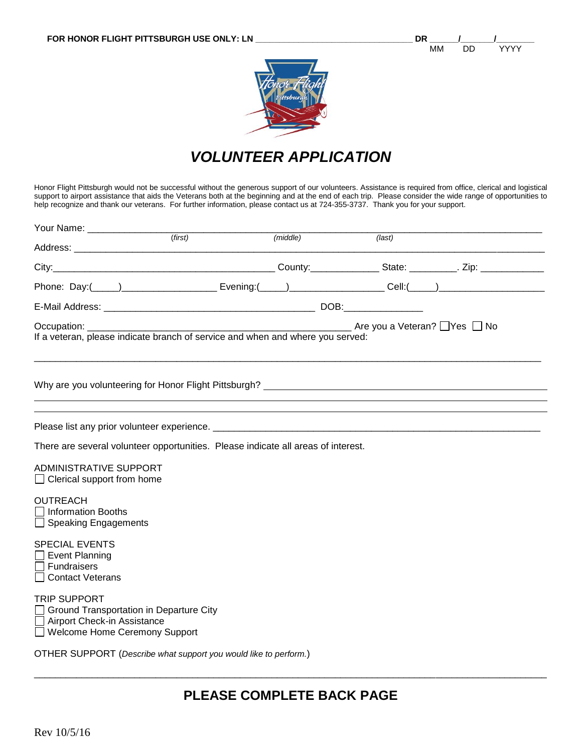



# *VOLUNTEER APPLICATION*

Honor Flight Pittsburgh would not be successful without the generous support of our volunteers. Assistance is required from office, clerical and logistical support to airport assistance that aids the Veterans both at the beginning and at the end of each trip. Please consider the wide range of opportunities to help recognize and thank our veterans. For further information, please contact us at 724-355-3737. Thank you for your support.

| Your Name: ___________________                                                                                                                                                                                                 |         |          |    |  |  |  |  |  |  |  |
|--------------------------------------------------------------------------------------------------------------------------------------------------------------------------------------------------------------------------------|---------|----------|----|--|--|--|--|--|--|--|
|                                                                                                                                                                                                                                | (first) | (middle) | $$ |  |  |  |  |  |  |  |
|                                                                                                                                                                                                                                |         |          |    |  |  |  |  |  |  |  |
| Phone: Day:( 1) 2008 [2010] Evening:( 2010) [2010] Cell:( 2010) [2010] Cell:( 2010) [2010] [2010] [2010] [2010                                                                                                                 |         |          |    |  |  |  |  |  |  |  |
|                                                                                                                                                                                                                                |         |          |    |  |  |  |  |  |  |  |
| If a veteran, please indicate branch of service and when and where you served:                                                                                                                                                 |         |          |    |  |  |  |  |  |  |  |
| Why are you volunteering for Honor Flight Pittsburgh? Letter and the state of the state of the state of the state of the state of the state of the state of the state of the state of the state of the state of the state of t |         |          |    |  |  |  |  |  |  |  |
|                                                                                                                                                                                                                                |         |          |    |  |  |  |  |  |  |  |
| There are several volunteer opportunities. Please indicate all areas of interest.                                                                                                                                              |         |          |    |  |  |  |  |  |  |  |
| <b>ADMINISTRATIVE SUPPORT</b><br>$\Box$ Clerical support from home                                                                                                                                                             |         |          |    |  |  |  |  |  |  |  |
| <b>OUTREACH</b><br>$\Box$ Information Booths<br>$\Box$ Speaking Engagements                                                                                                                                                    |         |          |    |  |  |  |  |  |  |  |
| <b>SPECIAL EVENTS</b><br>$\Box$ Event Planning<br><b>Fundraisers</b><br><b>Contact Veterans</b>                                                                                                                                |         |          |    |  |  |  |  |  |  |  |
| <b>TRIP SUPPORT</b><br>Ground Transportation in Departure City<br>Airport Check-in Assistance<br>□ Welcome Home Ceremony Support                                                                                               |         |          |    |  |  |  |  |  |  |  |
| OTHER SUPPORT (Describe what support you would like to perform.)                                                                                                                                                               |         |          |    |  |  |  |  |  |  |  |

\_\_\_\_\_\_\_\_\_\_\_\_\_\_\_\_\_\_\_\_\_\_\_\_\_\_\_\_\_\_\_\_\_\_\_\_\_\_\_\_\_\_\_\_\_\_\_\_\_\_\_\_\_\_\_\_\_\_\_\_\_\_\_\_\_\_\_\_\_\_\_\_\_\_\_\_\_\_\_\_\_\_\_\_\_\_\_\_\_\_\_\_\_\_\_\_\_